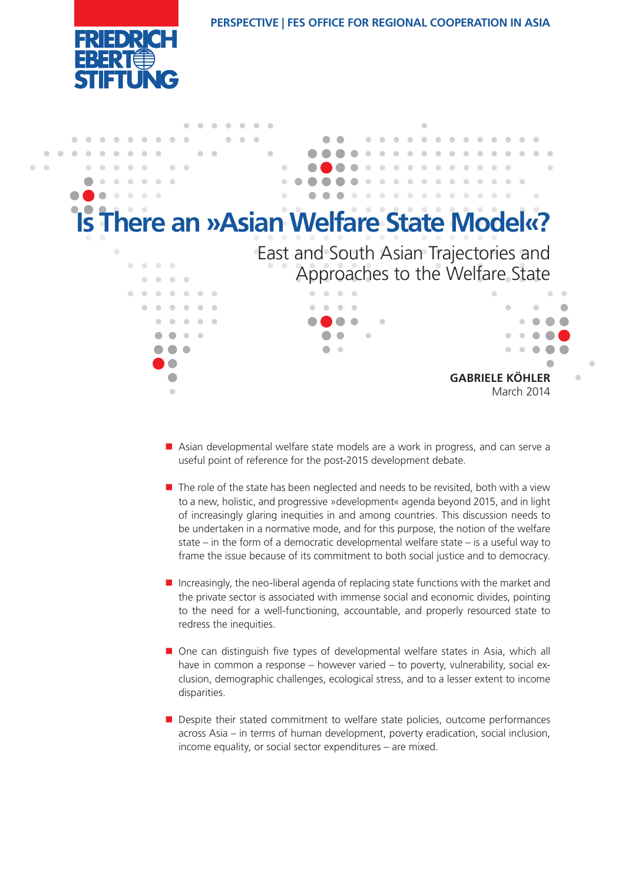

**PERSPECTIVE | FES Office for Regional Cooperation in Asia**



- Asian developmental welfare state models are a work in progress, and can serve a useful point of reference for the post-2015 development debate.
- $\blacksquare$  The role of the state has been neglected and needs to be revisited, both with a view to a new, holistic, and progressive »development« agenda beyond 2015, and in light of increasingly glaring inequities in and among countries. This discussion needs to be undertaken in a normative mode, and for this purpose, the notion of the welfare state – in the form of a democratic developmental welfare state – is a useful way to frame the issue because of its commitment to both social justice and to democracy.
- Increasingly, the neo-liberal agenda of replacing state functions with the market and the private sector is associated with immense social and economic divides, pointing to the need for a well-functioning, accountable, and properly resourced state to redress the inequities.
- One can distinguish five types of developmental welfare states in Asia, which all have in common a response – however varied – to poverty, vulnerability, social exclusion, demographic challenges, ecological stress, and to a lesser extent to income disparities.
- **Despite their stated commitment to welfare state policies, outcome performances** across Asia – in terms of human development, poverty eradication, social inclusion, income equality, or social sector expenditures – are mixed.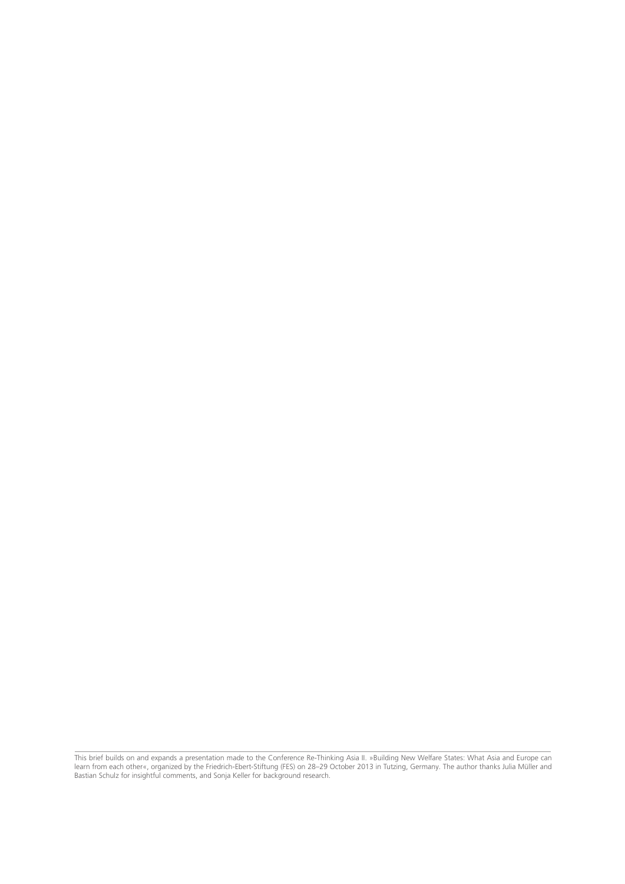This brief builds on and expands a presentation made to the Conference Re-Thinking Asia II. »Building New Welfare States: What Asia and Europe can learn from each other«, organized by the Friedrich-Ebert-Stiftung (FES) on 28–29 October 2013 in Tutzing, Germany. The author thanks Julia Müller and Bastian Schulz for insightful comments, and Sonja Keller for background research.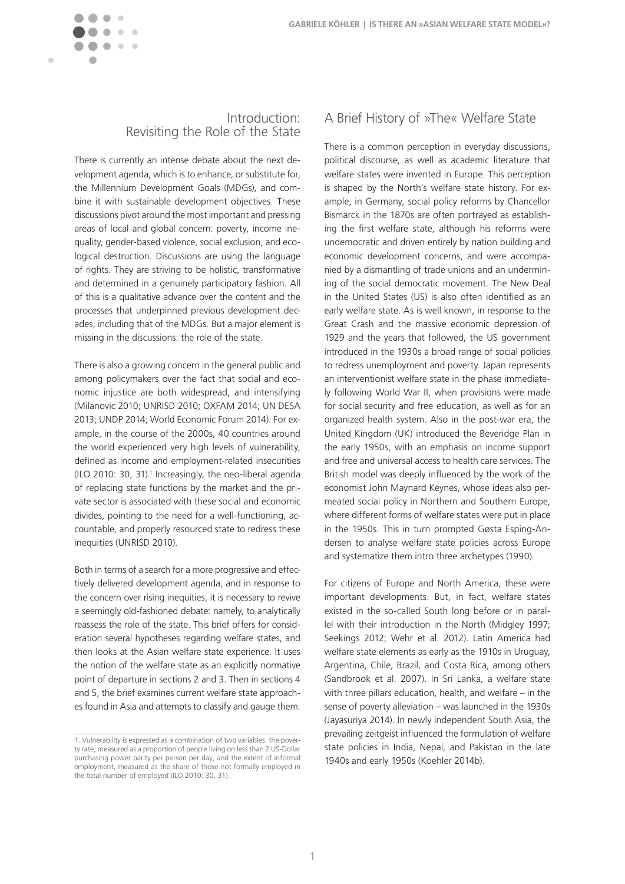

### Introduction: Revisiting the Role of the State

There is currently an intense debate about the next development agenda, which is to enhance, or substitute for, the Millennium Development Goals (MDGs), and combine it with sustainable development objectives. These discussions pivot around the most important and pressing areas of local and global concern: poverty, income inequality, gender-based violence, social exclusion, and ecological destruction. Discussions are using the language of rights. They are striving to be holistic, transformative and determined in a genuinely participatory fashion. All of this is a qualitative advance over the content and the processes that underpinned previous development decades, including that of the MDGs. But a major element is missing in the discussions: the role of the state.

There is also a growing concern in the general public and among policymakers over the fact that social and economic injustice are both widespread, and intensifying (Milanovic 2010; UNRISD 2010; OXFAM 2014; UN DESA 2013; UNDP 2014; World Economic Forum 2014). For example, in the course of the 2000s, 40 countries around the world experienced very high levels of vulnerability, defined as income and employment-related insecurities (ILO 2010: 30, 31).1 Increasingly, the neo-liberal agenda of replacing state functions by the market and the private sector is associated with these social and economic divides, pointing to the need for a well-functioning, accountable, and properly resourced state to redress these inequities (UNRISD 2010).

Both in terms of a search for a more progressive and effectively delivered development agenda, and in response to the concern over rising inequities, it is necessary to revive a seemingly old-fashioned debate: namely, to analytically reassess the role of the state. This brief offers for consideration several hypotheses regarding welfare states, and then looks at the Asian welfare state experience. It uses the notion of the welfare state as an explicitly normative point of departure in sections 2 and 3. Then in sections 4 and 5, the brief examines current welfare state approaches found in Asia and attempts to classify and gauge them.

# A Brief History of »The« Welfare State

There is a common perception in everyday discussions, political discourse, as well as academic literature that welfare states were invented in Europe. This perception is shaped by the North's welfare state history. For example, in Germany, social policy reforms by Chancellor Bismarck in the 1870s are often portrayed as establishing the first welfare state, although his reforms were undemocratic and driven entirely by nation building and economic development concerns, and were accompanied by a dismantling of trade unions and an undermining of the social democratic movement. The New Deal in the United States (US) is also often identified as an early welfare state. As is well known, in response to the Great Crash and the massive economic depression of 1929 and the years that followed, the US government introduced in the 1930s a broad range of social policies to redress unemployment and poverty. Japan represents an interventionist welfare state in the phase immediately following World War II, when provisions were made for social security and free education, as well as for an organized health system. Also in the post-war era, the United Kingdom (UK) introduced the Beveridge Plan in the early 1950s, with an emphasis on income support and free and universal access to health care services. The British model was deeply influenced by the work of the economist John Maynard Keynes, whose ideas also permeated social policy in Northern and Southern Europe, where different forms of welfare states were put in place in the 1950s. This in turn prompted Gøsta Esping-Andersen to analyse welfare state policies across Europe and systematize them intro three archetypes (1990).

For citizens of Europe and North America, these were important developments. But, in fact, welfare states existed in the so-called South long before or in parallel with their introduction in the North (Midgley 1997; Seekings 2012; Wehr et al. 2012). Latin America had welfare state elements as early as the 1910s in Uruguay, Argentina, Chile, Brazil, and Costa Rica, among others (Sandbrook et al. 2007). In Sri Lanka, a welfare state with three pillars education, health, and welfare – in the sense of poverty alleviation – was launched in the 1930s (Jayasuriya 2014). In newly independent South Asia, the prevailing zeitgeist influenced the formulation of welfare state policies in India, Nepal, and Pakistan in the late 1940s and early 1950s (Koehler 2014b).

<sup>1.</sup> Vulnerability is expressed as a combination of two variables: the poverty rate, measured as a proportion of people living on less than 2 US-Dollar purchasing power parity per person per day, and the extent of informal employment, measured as the share of those not formally employed in the total number of employed (ILO 2010: 30, 31).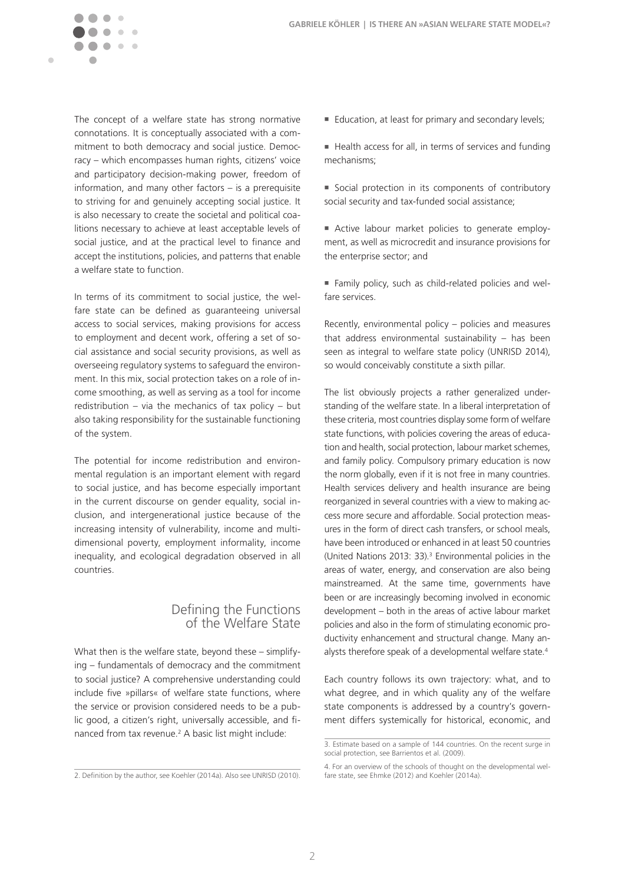

The concept of a welfare state has strong normative connotations. It is conceptually associated with a commitment to both democracy and social justice. Democracy – which encompasses human rights, citizens' voice and participatory decision-making power, freedom of information, and many other factors – is a prerequisite to striving for and genuinely accepting social justice. It is also necessary to create the societal and political coalitions necessary to achieve at least acceptable levels of social justice, and at the practical level to finance and accept the institutions, policies, and patterns that enable a welfare state to function.

In terms of its commitment to social justice, the welfare state can be defined as guaranteeing universal access to social services, making provisions for access to employment and decent work, offering a set of social assistance and social security provisions, as well as overseeing regulatory systems to safeguard the environment. In this mix, social protection takes on a role of income smoothing, as well as serving as a tool for income redistribution – via the mechanics of tax policy – but also taking responsibility for the sustainable functioning of the system.

The potential for income redistribution and environmental regulation is an important element with regard to social justice, and has become especially important in the current discourse on gender equality, social inclusion, and intergenerational justice because of the increasing intensity of vulnerability, income and multidimensional poverty, employment informality, income inequality, and ecological degradation observed in all countries.

## Defining the Functions of the Welfare State

What then is the welfare state, beyond these – simplifying – fundamentals of democracy and the commitment to social justice? A comprehensive understanding could include five »pillars« of welfare state functions, where the service or provision considered needs to be a public good, a citizen's right, universally accessible, and financed from tax revenue.<sup>2</sup> A basic list might include:

- Education, at least for primary and secondary levels;
- Health access for all, in terms of services and funding mechanisms;
- Social protection in its components of contributory social security and tax-funded social assistance;
- n Active labour market policies to generate employment, as well as microcredit and insurance provisions for the enterprise sector; and
- <sup>n</sup> Family policy, such as child-related policies and welfare services.

Recently, environmental policy – policies and measures that address environmental sustainability – has been seen as integral to welfare state policy (UNRISD 2014), so would conceivably constitute a sixth pillar.

The list obviously projects a rather generalized understanding of the welfare state. In a liberal interpretation of these criteria, most countries display some form of welfare state functions, with policies covering the areas of education and health, social protection, labour market schemes, and family policy. Compulsory primary education is now the norm globally, even if it is not free in many countries. Health services delivery and health insurance are being reorganized in several countries with a view to making access more secure and affordable. Social protection measures in the form of direct cash transfers, or school meals, have been introduced or enhanced in at least 50 countries (United Nations 2013: 33).3 Environmental policies in the areas of water, energy, and conservation are also being mainstreamed. At the same time, governments have been or are increasingly becoming involved in economic development – both in the areas of active labour market policies and also in the form of stimulating economic productivity enhancement and structural change. Many analysts therefore speak of a developmental welfare state.4

Each country follows its own trajectory: what, and to what degree, and in which quality any of the welfare state components is addressed by a country's government differs systemically for historical, economic, and

<sup>2.</sup> Definition by the author, see Koehler (2014a). Also see UNRISD (2010).

<sup>3.</sup> Estimate based on a sample of 144 countries. On the recent surge in social protection, see Barrientos et al. (2009).

<sup>4.</sup> For an overview of the schools of thought on the developmental welfare state, see Ehmke (2012) and Koehler (2014a).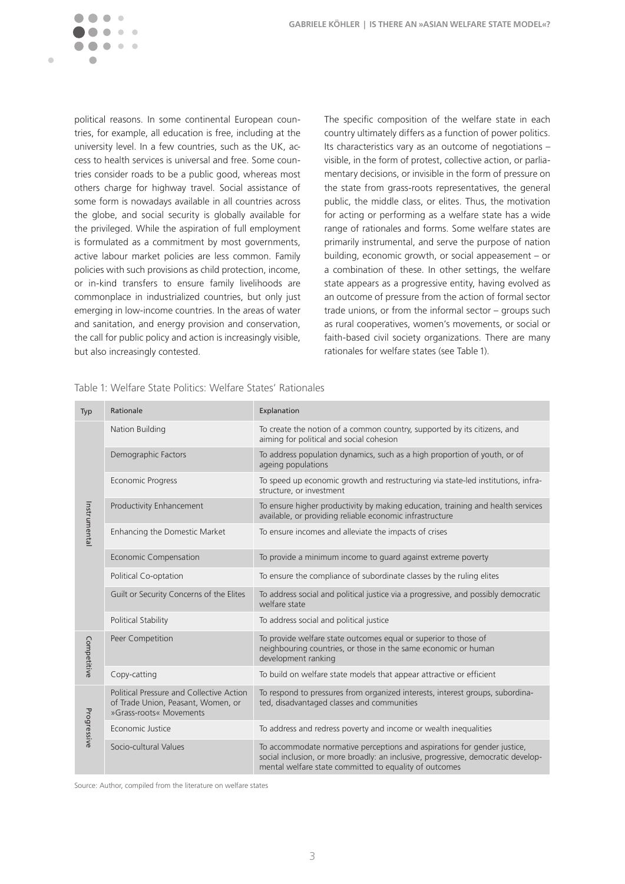

political reasons. In some continental European countries, for example, all education is free, including at the university level. In a few countries, such as the UK, access to health services is universal and free. Some countries consider roads to be a public good, whereas most others charge for highway travel. Social assistance of some form is nowadays available in all countries across the globe, and social security is globally available for the privileged. While the aspiration of full employment is formulated as a commitment by most governments, active labour market policies are less common. Family policies with such provisions as child protection, income, or in-kind transfers to ensure family livelihoods are commonplace in industrialized countries, but only just emerging in low-income countries. In the areas of water and sanitation, and energy provision and conservation, the call for public policy and action is increasingly visible, but also increasingly contested.

The specific composition of the welfare state in each country ultimately differs as a function of power politics. Its characteristics vary as an outcome of negotiations – visible, in the form of protest, collective action, or parliamentary decisions, or invisible in the form of pressure on the state from grass-roots representatives, the general public, the middle class, or elites. Thus, the motivation for acting or performing as a welfare state has a wide range of rationales and forms. Some welfare states are primarily instrumental, and serve the purpose of nation building, economic growth, or social appeasement – or a combination of these. In other settings, the welfare state appears as a progressive entity, having evolved as an outcome of pressure from the action of formal sector trade unions, or from the informal sector – groups such as rural cooperatives, women's movements, or social or faith-based civil society organizations. There are many rationales for welfare states (see Table 1).

| Typ                                                            | Rationale                                                                                                 | Explanation                                                                                                                                                                                                             |  |  |
|----------------------------------------------------------------|-----------------------------------------------------------------------------------------------------------|-------------------------------------------------------------------------------------------------------------------------------------------------------------------------------------------------------------------------|--|--|
| Instrumental                                                   | Nation Building                                                                                           | To create the notion of a common country, supported by its citizens, and<br>aiming for political and social cohesion                                                                                                    |  |  |
|                                                                | Demographic Factors                                                                                       | To address population dynamics, such as a high proportion of youth, or of<br>ageing populations                                                                                                                         |  |  |
|                                                                | Economic Progress                                                                                         | To speed up economic growth and restructuring via state-led institutions, infra-<br>structure, or investment                                                                                                            |  |  |
|                                                                | Productivity Enhancement                                                                                  | To ensure higher productivity by making education, training and health services<br>available, or providing reliable economic infrastructure                                                                             |  |  |
|                                                                | Enhancing the Domestic Market                                                                             | To ensure incomes and alleviate the impacts of crises                                                                                                                                                                   |  |  |
|                                                                | <b>Economic Compensation</b>                                                                              | To provide a minimum income to guard against extreme poverty                                                                                                                                                            |  |  |
|                                                                | Political Co-optation                                                                                     | To ensure the compliance of subordinate classes by the ruling elites                                                                                                                                                    |  |  |
|                                                                | Guilt or Security Concerns of the Elites                                                                  | To address social and political justice via a progressive, and possibly democratic<br>welfare state                                                                                                                     |  |  |
|                                                                | Political Stability                                                                                       | To address social and political justice                                                                                                                                                                                 |  |  |
| Competitive                                                    | Peer Competition                                                                                          | To provide welfare state outcomes equal or superior to those of<br>neighbouring countries, or those in the same economic or human<br>development ranking                                                                |  |  |
|                                                                | Copy-catting                                                                                              | To build on welfare state models that appear attractive or efficient                                                                                                                                                    |  |  |
| Progressive                                                    | Political Pressure and Collective Action<br>of Trade Union, Peasant, Women, or<br>»Grass-roots« Movements | To respond to pressures from organized interests, interest groups, subordina-<br>ted, disadvantaged classes and communities                                                                                             |  |  |
|                                                                | Economic Justice                                                                                          | To address and redress poverty and income or wealth inequalities                                                                                                                                                        |  |  |
|                                                                | Socio-cultural Values                                                                                     | To accommodate normative perceptions and aspirations for gender justice,<br>social inclusion, or more broadly: an inclusive, progressive, democratic develop-<br>mental welfare state committed to equality of outcomes |  |  |
| Source: Author, compiled from the literature on welfare states |                                                                                                           |                                                                                                                                                                                                                         |  |  |

Table 1: Welfare State Politics: Welfare States' Rationales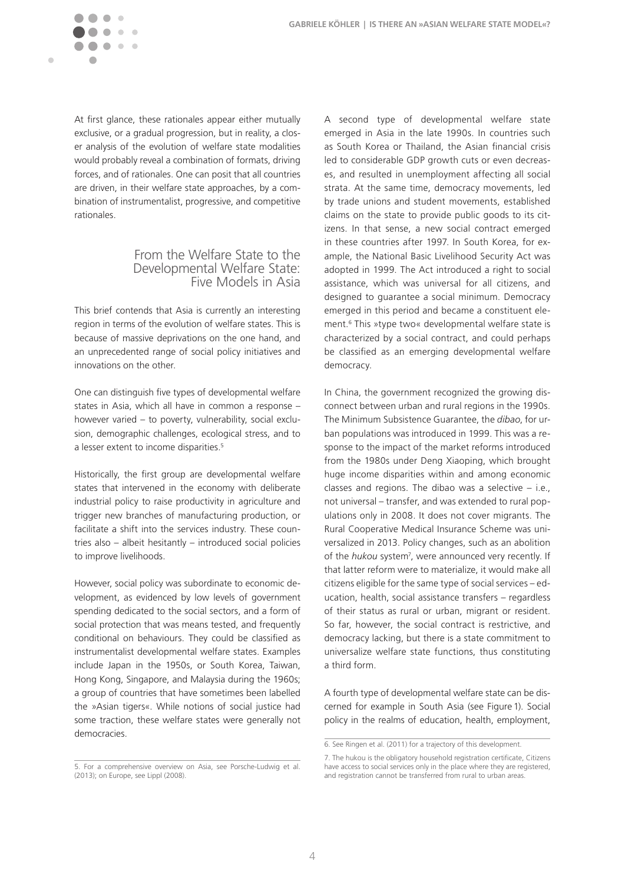

At first glance, these rationales appear either mutually exclusive, or a gradual progression, but in reality, a closer analysis of the evolution of welfare state modalities would probably reveal a combination of formats, driving forces, and of rationales. One can posit that all countries are driven, in their welfare state approaches, by a combination of instrumentalist, progressive, and competitive rationales.

### From the Welfare State to the Developmental Welfare State: Five Models in Asia

This brief contends that Asia is currently an interesting region in terms of the evolution of welfare states. This is because of massive deprivations on the one hand, and an unprecedented range of social policy initiatives and innovations on the other.

One can distinguish five types of developmental welfare states in Asia, which all have in common a response – however varied – to poverty, vulnerability, social exclusion, demographic challenges, ecological stress, and to a lesser extent to income disparities.<sup>5</sup>

Historically, the first group are developmental welfare states that intervened in the economy with deliberate industrial policy to raise productivity in agriculture and trigger new branches of manufacturing production, or facilitate a shift into the services industry. These countries also – albeit hesitantly – introduced social policies to improve livelihoods.

However, social policy was subordinate to economic development, as evidenced by low levels of government spending dedicated to the social sectors, and a form of social protection that was means tested, and frequently conditional on behaviours. They could be classified as instrumentalist developmental welfare states. Examples include Japan in the 1950s, or South Korea, Taiwan, Hong Kong, Singapore, and Malaysia during the 1960s; a group of countries that have sometimes been labelled the »Asian tigers«. While notions of social justice had some traction, these welfare states were generally not democracies.

A second type of developmental welfare state emerged in Asia in the late 1990s. In countries such as South Korea or Thailand, the Asian financial crisis led to considerable GDP growth cuts or even decreases, and resulted in unemployment affecting all social strata. At the same time, democracy movements, led by trade unions and student movements, established claims on the state to provide public goods to its citizens. In that sense, a new social contract emerged in these countries after 1997. In South Korea, for example, the National Basic Livelihood Security Act was adopted in 1999. The Act introduced a right to social assistance, which was universal for all citizens, and designed to guarantee a social minimum. Democracy emerged in this period and became a constituent element.6 This »type two« developmental welfare state is characterized by a social contract, and could perhaps be classified as an emerging developmental welfare democracy.

In China, the government recognized the growing disconnect between urban and rural regions in the 1990s. The Minimum Subsistence Guarantee, the *dibao*, for urban populations was introduced in 1999. This was a response to the impact of the market reforms introduced from the 1980s under Deng Xiaoping, which brought huge income disparities within and among economic classes and regions. The dibao was a selective  $-$  i.e., not universal – transfer, and was extended to rural populations only in 2008. It does not cover migrants. The Rural Cooperative Medical Insurance Scheme was universalized in 2013. Policy changes, such as an abolition of the *hukou* system<sup>7</sup>, were announced very recently. If that latter reform were to materialize, it would make all citizens eligible for the same type of social services – education, health, social assistance transfers – regardless of their status as rural or urban, migrant or resident. So far, however, the social contract is restrictive, and democracy lacking, but there is a state commitment to universalize welfare state functions, thus constituting a third form.

A fourth type of developmental welfare state can be discerned for example in South Asia (see Figure 1). Social policy in the realms of education, health, employment,

<sup>5.</sup> For a comprehensive overview on Asia, see Porsche-Ludwig et al. (2013); on Europe, see Lippl (2008).

<sup>6.</sup> See Ringen et al. (2011) for a trajectory of this development.

<sup>7.</sup> The hukou is the obligatory household registration certificate, Citizens have access to social services only in the place where they are registered, and registration cannot be transferred from rural to urban areas.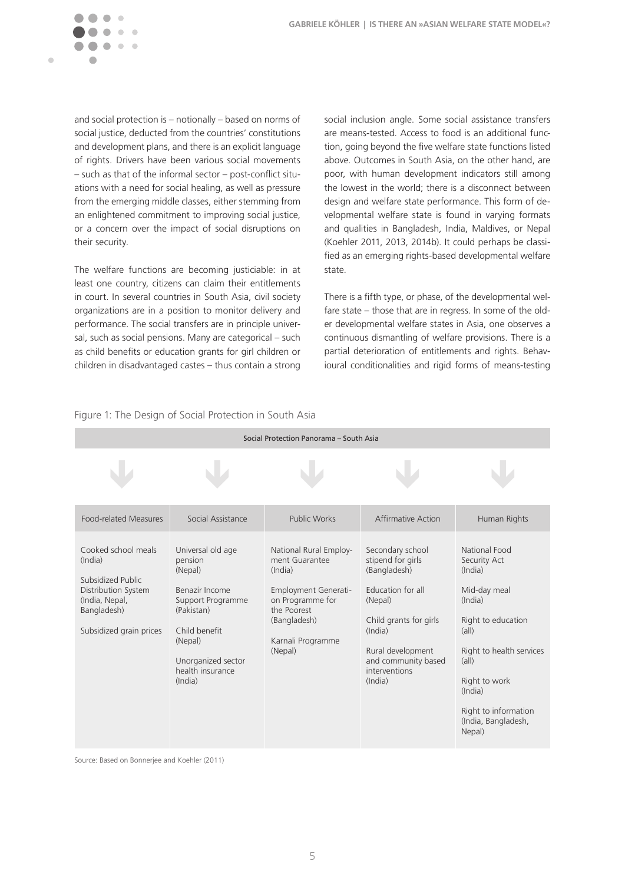

and social protection is – notionally – based on norms of social justice, deducted from the countries' constitutions and development plans, and there is an explicit language of rights. Drivers have been various social movements – such as that of the informal sector – post-conflict situations with a need for social healing, as well as pressure from the emerging middle classes, either stemming from an enlightened commitment to improving social justice, or a concern over the impact of social disruptions on their security.

The welfare functions are becoming justiciable: in at least one country, citizens can claim their entitlements in court. In several countries in South Asia, civil society organizations are in a position to monitor delivery and performance. The social transfers are in principle universal, such as social pensions. Many are categorical – such as child benefits or education grants for girl children or children in disadvantaged castes – thus contain a strong social inclusion angle. Some social assistance transfers are means-tested. Access to food is an additional function, going beyond the five welfare state functions listed above. Outcomes in South Asia, on the other hand, are poor, with human development indicators still among the lowest in the world; there is a disconnect between design and welfare state performance. This form of developmental welfare state is found in varying formats and qualities in Bangladesh, India, Maldives, or Nepal (Koehler 2011, 2013, 2014b). It could perhaps be classified as an emerging rights-based developmental welfare state.

There is a fifth type, or phase, of the developmental welfare state – those that are in regress. In some of the older developmental welfare states in Asia, one observes a continuous dismantling of welfare provisions. There is a partial deterioration of entitlements and rights. Behavioural conditionalities and rigid forms of means-testing

| Social Protection Panorama - South Asia                                                                                                |                                                                                                                                                                               |                                                                                                                                                                       |                                                                                                                                                                                                    |                                                                                                                                                                                                                                                |  |  |  |  |
|----------------------------------------------------------------------------------------------------------------------------------------|-------------------------------------------------------------------------------------------------------------------------------------------------------------------------------|-----------------------------------------------------------------------------------------------------------------------------------------------------------------------|----------------------------------------------------------------------------------------------------------------------------------------------------------------------------------------------------|------------------------------------------------------------------------------------------------------------------------------------------------------------------------------------------------------------------------------------------------|--|--|--|--|
|                                                                                                                                        |                                                                                                                                                                               |                                                                                                                                                                       |                                                                                                                                                                                                    |                                                                                                                                                                                                                                                |  |  |  |  |
| <b>Food-related Measures</b>                                                                                                           | Social Assistance                                                                                                                                                             | Public Works                                                                                                                                                          | Affirmative Action                                                                                                                                                                                 | Human Rights                                                                                                                                                                                                                                   |  |  |  |  |
| Cooked school meals<br>(India)<br>Subsidized Public<br>Distribution System<br>(India, Nepal,<br>Bangladesh)<br>Subsidized grain prices | Universal old age<br>pension<br>(Nepal)<br>Benazir Income<br>Support Programme<br>(Pakistan)<br>Child benefit<br>(Nepal)<br>Unorganized sector<br>health insurance<br>(India) | National Rural Employ-<br>ment Guarantee<br>(India)<br><b>Employment Generati-</b><br>on Programme for<br>the Poorest<br>(Bangladesh)<br>Karnali Programme<br>(Nepal) | Secondary school<br>stipend for girls<br>(Bangladesh)<br>Education for all<br>(Nepal)<br>Child grants for girls<br>(India)<br>Rural development<br>and community based<br>interventions<br>(India) | National Food<br>Security Act<br>(India)<br>Mid-day meal<br>(India)<br>Right to education<br>$(\text{all})$<br>Right to health services<br>$(\text{all})$<br>Right to work<br>(India)<br>Right to information<br>(India, Bangladesh,<br>Nepal) |  |  |  |  |

#### Figure 1: The Design of Social Protection in South Asia

Source: Based on Bonnerjee and Koehler (2011)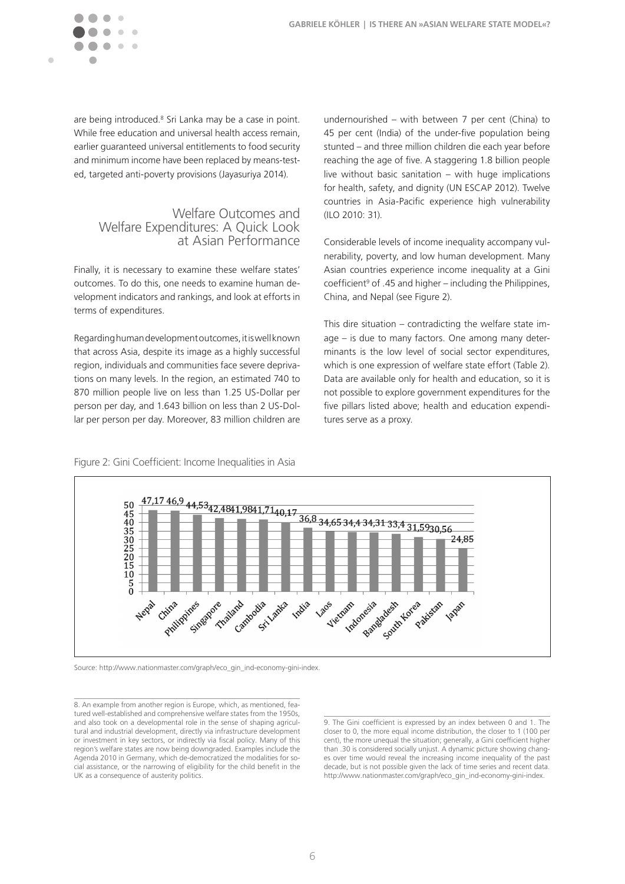

are being introduced.<sup>8</sup> Sri Lanka may be a case in point. While free education and universal health access remain, earlier guaranteed universal entitlements to food security and minimum income have been replaced by means-tested, targeted anti-poverty provisions (Jayasuriya 2014).

### Welfare Outcomes and Welfare Expenditures: A Quick Look at Asian Performance

Finally, it is necessary to examine these welfare states' outcomes. To do this, one needs to examine human development indicators and rankings, and look at efforts in terms of expenditures.

Regarding human development outcomes, it is well known that across Asia, despite its image as a highly successful region, individuals and communities face severe deprivations on many levels. In the region, an estimated 740 to 870 million people live on less than 1.25 US-Dollar per person per day, and 1.643 billion on less than 2 US-Dollar per person per day. Moreover, 83 million children are undernourished – with between 7 per cent (China) to 45 per cent (India) of the under-five population being stunted – and three million children die each year before reaching the age of five. A staggering 1.8 billion people live without basic sanitation – with huge implications for health, safety, and dignity (UN ESCAP 2012). Twelve countries in Asia-Pacific experience high vulnerability (ILO 2010: 31).

Considerable levels of income inequality accompany vulnerability, poverty, and low human development. Many Asian countries experience income inequality at a Gini coefficient<sup>9</sup> of .45 and higher – including the Philippines, China, and Nepal (see Figure 2).

This dire situation – contradicting the welfare state image – is due to many factors. One among many determinants is the low level of social sector expenditures, which is one expression of welfare state effort (Table 2). Data are available only for health and education, so it is not possible to explore government expenditures for the five pillars listed above; health and education expenditures serve as a proxy.



Figure 2: Gini Coefficient: Income Inequalities in Asia

Source: http://www.nationmaster.com/graph/eco\_gin\_ind-economy-gini-index.

8. An example from another region is Europe, which, as mentioned, featured well-established and comprehensive welfare states from the 1950s, and also took on a developmental role in the sense of shaping agricultural and industrial development, directly via infrastructure development or investment in key sectors, or indirectly via fiscal policy. Many of this region's welfare states are now being downgraded. Examples include the Agenda 2010 in Germany, which de-democratized the modalities for social assistance, or the narrowing of eligibility for the child benefit in the UK as a consequence of austerity politics.

9. The Gini coefficient is expressed by an index between 0 and 1. The closer to 0, the more equal income distribution, the closer to 1 (100 per cent), the more unequal the situation; generally, a Gini coefficient higher than .30 is considered socially unjust. A dynamic picture showing changes over time would reveal the increasing income inequality of the past decade, but is not possible given the lack of time series and recent data. http://www.nationmaster.com/graph/eco\_gin\_ind-economy-gini-index.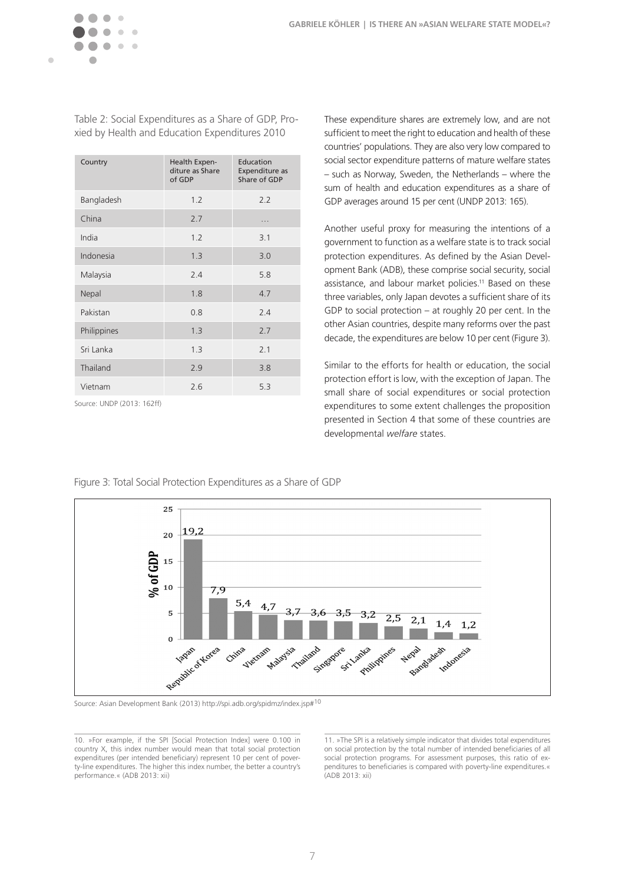| Country     | Health Expen-<br>diture as Share<br>of GDP | Education<br>Expenditure as<br>Share of GDP |
|-------------|--------------------------------------------|---------------------------------------------|
| Bangladesh  | 1.2                                        | 2.2                                         |
| China       | 2.7                                        | .                                           |
| India       | 1.2                                        | 3.1                                         |
| Indonesia   | 1.3                                        | 3.0                                         |
| Malaysia    | 2.4                                        | 5.8                                         |
| Nepal       | 1.8                                        | 4.7                                         |
| Pakistan    | 0.8                                        | 2.4                                         |
| Philippines | 1.3                                        | 2.7                                         |
| Sri Lanka   | 1.3                                        | 2.1                                         |
| Thailand    | 2.9                                        | 3.8                                         |
| Vietnam     | 2.6                                        | 5.3                                         |

Table 2: Social Expenditures as a Share of GDP, Proxied by Health and Education Expenditures 2010

Source: UNDP (2013: 162ff)

These expenditure shares are extremely low, and are not sufficient to meet the right to education and health of these countries' populations. They are also very low compared to social sector expenditure patterns of mature welfare states – such as Norway, Sweden, the Netherlands – where the sum of health and education expenditures as a share of GDP averages around 15 per cent (UNDP 2013: 165).

Another useful proxy for measuring the intentions of a government to function as a welfare state is to track social protection expenditures. As defined by the Asian Development Bank (ADB), these comprise social security, social assistance, and labour market policies.<sup>11</sup> Based on these three variables, only Japan devotes a sufficient share of its GDP to social protection – at roughly 20 per cent. In the other Asian countries, despite many reforms over the past decade, the expenditures are below 10 per cent (Figure 3).

Similar to the efforts for health or education, the social protection effort is low, with the exception of Japan. The small share of social expenditures or social protection expenditures to some extent challenges the proposition presented in Section 4 that some of these countries are developmental *welfare* states.



Figure 3: Total Social Protection Expenditures as a Share of GDP

Source: Asian Development Bank (2013) http://spi.adb.org/spidmz/index.jsp#10

10. »For example, if the SPI [Social Protection Index] were 0.100 in country X, this index number would mean that total social protection expenditures (per intended beneficiary) represent 10 per cent of poverty-line expenditures. The higher this index number, the better a country's performance.« (ADB 2013: xii)

11. »The SPI is a relatively simple indicator that divides total expenditures on social protection by the total number of intended beneficiaries of all social protection programs. For assessment purposes, this ratio of expenditures to beneficiaries is compared with poverty-line expenditures.« (ADB 2013: xii)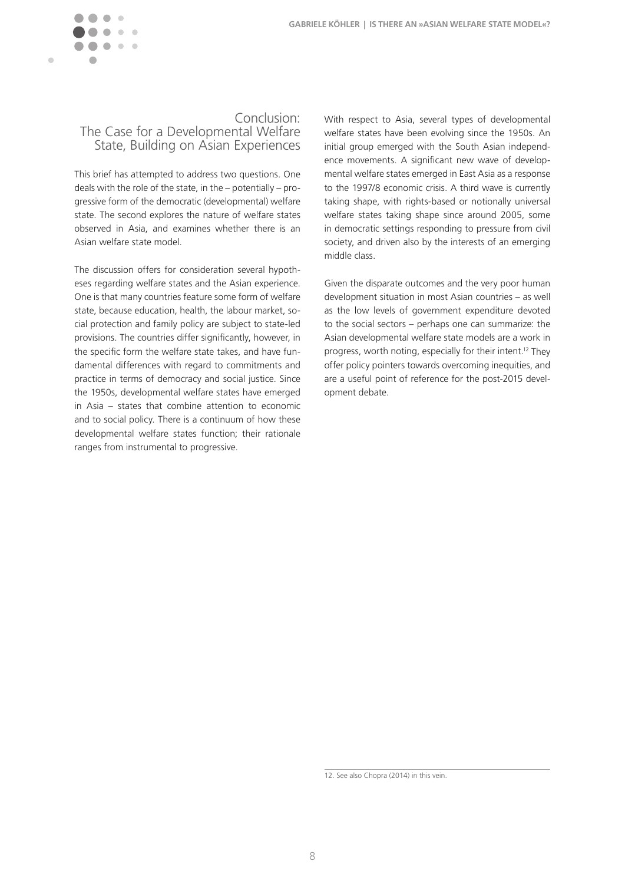

### Conclusion: The Case for a Developmental Welfare State, Building on Asian Experiences

This brief has attempted to address two questions. One deals with the role of the state, in the – potentially – progressive form of the democratic (developmental) welfare state. The second explores the nature of welfare states observed in Asia, and examines whether there is an Asian welfare state model.

The discussion offers for consideration several hypotheses regarding welfare states and the Asian experience. One is that many countries feature some form of welfare state, because education, health, the labour market, social protection and family policy are subject to state-led provisions. The countries differ significantly, however, in the specific form the welfare state takes, and have fundamental differences with regard to commitments and practice in terms of democracy and social justice. Since the 1950s, developmental welfare states have emerged in Asia – states that combine attention to economic and to social policy. There is a continuum of how these developmental welfare states function; their rationale ranges from instrumental to progressive.

With respect to Asia, several types of developmental welfare states have been evolving since the 1950s. An initial group emerged with the South Asian independence movements. A significant new wave of developmental welfare states emerged in East Asia as a response to the 1997/8 economic crisis. A third wave is currently taking shape, with rights-based or notionally universal welfare states taking shape since around 2005, some in democratic settings responding to pressure from civil society, and driven also by the interests of an emerging middle class.

Given the disparate outcomes and the very poor human development situation in most Asian countries – as well as the low levels of government expenditure devoted to the social sectors – perhaps one can summarize: the Asian developmental welfare state models are a work in progress, worth noting, especially for their intent.12 They offer policy pointers towards overcoming inequities, and are a useful point of reference for the post-2015 development debate.

<sup>12.</sup> See also Chopra (2014) in this vein.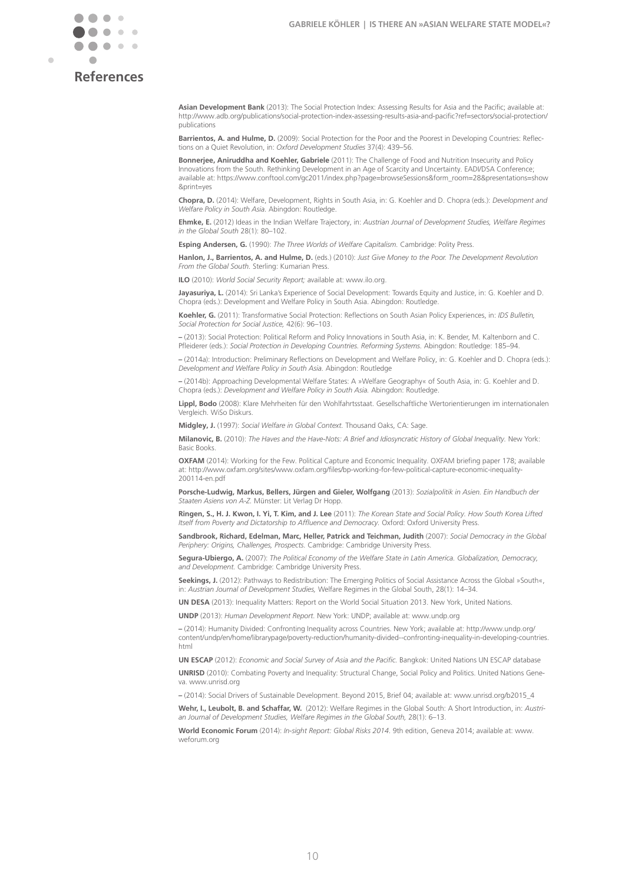

### **References**

**Asian Development Bank** (2013): The Social Protection Index: Assessing Results for Asia and the Pacific; available at: http://www.adb.org/publications/social-protection-index-assessing-results-asia-and-pacific?ref=sectors/social-protection/ publications

**Barrientos, A. and Hulme, D.** (2009): Social Protection for the Poor and the Poorest in Developing Countries: Reflections on a Quiet Revolution, in: *Oxford Development Studies* 37(4): 439–56.

**Bonnerjee, Aniruddha and Koehler, Gabriele** (2011): The Challenge of Food and Nutrition Insecurity and Policy Innovations from the South. Rethinking Development in an Age of Scarcity and Uncertainty. EADI/DSA Conference; available at: https://www.conftool.com/gc2011/index.php?page=browseSessions&form\_room=28&presentations=show &print=yes

**Chopra, D.** (2014): Welfare, Development, Rights in South Asia, in: G. Koehler and D. Chopra (eds.): *Development and Welfare Policy in South Asia.* Abingdon: Routledge.

**Ehmke, E.** (2012) Ideas in the Indian Welfare Trajectory, in: *Austrian Journal of Development Studies, Welfare Regimes in the Global South* 28(1): 80–102.

**Esping Andersen, G.** (1990): *The Three Worlds of Welfare Capitalism.* Cambridge: Polity Press.

**Hanlon, J., Barrientos, A. and Hulme, D.** (eds.) (2010): *Just Give Money to the Poor. The Development Revolution From the Global South.* Sterling: Kumarian Press.

**ILO** (2010): *World Social Security Report;* available at: www.ilo.org.

**Jayasuriya, L.** (2014): Sri Lanka's Experience of Social Development: Towards Equity and Justice, in: G. Koehler and D. Chopra (eds.): Development and Welfare Policy in South Asia. Abingdon: Routledge.

**Koehler, G.** (2011): Transformative Social Protection: Reflections on South Asian Policy Experiences, in: *IDS Bulletin, Social Protection for Social Justice,* 42(6): 96–103.

**–** (2013): Social Protection: Political Reform and Policy Innovations in South Asia, in: K. Bender, M. Kaltenborn and C. Pfleiderer (eds.): *Social Protection in Developing Countries. Reforming Systems.* Abingdon: Routledge: 185–94.

**–** (2014a): Introduction: Preliminary Reflections on Development and Welfare Policy, in: G. Koehler and D. Chopra (eds.): *Development and Welfare Policy in South Asia.* Abingdon: Routledge

**–** (2014b): Approaching Developmental Welfare States: A »Welfare Geography« of South Asia, in: G. Koehler and D. Chopra (eds.): *Development and Welfare Policy in South Asia.* Abingdon: Routledge.

**Lippl, Bodo** (2008): Klare Mehrheiten für den Wohlfahrtsstaat. Gesellschaftliche Wertorientierungen im internationalen Vergleich. WiSo Diskurs.

**Midgley, J.** (1997): *Social Welfare in Global Context.* Thousand Oaks, CA: Sage.

**Milanovic, B.** (2010): *The Haves and the Have-Nots: A Brief and Idiosyncratic History of Global Inequality.* New York: Basic Books.

**OXFAM** (2014): Working for the Few. Political Capture and Economic Inequality. OXFAM briefing paper 178; available at: http://www.oxfam.org/sites/www.oxfam.org/files/bp-working-for-few-political-capture-economic-inequality-200114-en.pdf

**Porsche-Ludwig, Markus, Bellers, Jürgen and Gieler, Wolfgang** (2013): *Sozialpolitik in Asien. Ein Handbuch der Staaten Asiens von A-Z.* Münster: Lit Verlag Dr Hopp.

**Ringen, S., H. J. Kwon, I. Yi, T. Kim, and J. Lee** (2011): *The Korean State and Social Policy. How South Korea Lifted Itself from Poverty and Dictatorship to Affluence and Democracy.* Oxford: Oxford University Press.

**Sandbrook, Richard, Edelman, Marc, Heller, Patrick and Teichman, Judith** (2007): *Social Democracy in the Global Periphery: Origins, Challenges, Prospects.* Cambridge: Cambridge University Press.

**Segura-Ubiergo, A.** (2007): *The Political Economy of the Welfare State in Latin America. Globalization, Democracy, and Development.* Cambridge: Cambridge University Press.

**Seekings, J.** (2012): Pathways to Redistribution: The Emerging Politics of Social Assistance Across the Global »South«, in: *Austrian Journal of Development Studies,* Welfare Regimes in the Global South, 28(1): 14–34.

**UN DESA** (2013): Inequality Matters: Report on the World Social Situation 2013. New York, United Nations.

**UNDP** (2013): *Human Development Report.* New York: UNDP; available at: www.undp.org

**–** (2014): Humanity Divided: Confronting Inequality across Countries. New York; available at: http://www.undp.org/ content/undp/en/home/librarypage/poverty-reduction/humanity-divided--confronting-inequality-in-developing-countries. html

**UN ESCAP** (2012): *Economic and Social Survey of Asia and the Pacific.* Bangkok: United Nations UN ESCAP database

**UNRISD** (2010): Combating Poverty and Inequality: Structural Change, Social Policy and Politics. United Nations Geneva. www.unrisd.org

**–** (2014): Social Drivers of Sustainable Development. Beyond 2015, Brief 04; available at: www.unrisd.org/b2015\_4

**Wehr, I., Leubolt, B. and Schaffar, W.** (2012): Welfare Regimes in the Global South: A Short Introduction, in: *Austrian Journal of Development Studies, Welfare Regimes in the Global South,* 28(1): 6–13.

**World Economic Forum** (2014): *In-sight Report: Global Risks 2014*. 9th edition, Geneva 2014; available at: www. weforum.org